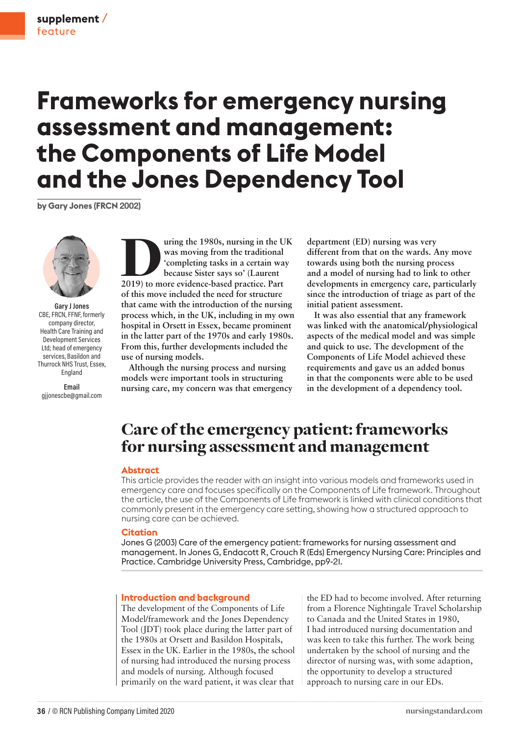# **Frameworks for emergency nursing assessment and management: the Components of Life Model and the Jones Dependency Tool**

**by Gary Jones (FRCN 2002)**



**Gary J Jones** CBE, FRCN, FFNF, formerly company director, Health Care Training and Development Services Ltd; head of emergency services, Basildon and Thurrock NHS Trust, Essex, England

**Email** gjjonescbe@gmail.com **1980s, nursing in the UK**<br> **2019) to more evidence-based practice. Part**<br> **2019) to more evidence-based practice. Part was moving from the traditional 'completing tasks in a certain way because Sister says so' (Laurent of this move included the need for structure that came with the introduction of the nursing process which, in the UK, including in my own hospital in Orsett in Essex, became prominent in the latter part of the 1970s and early 1980s. From this, further developments included the use of nursing models.**

**Although the nursing process and nursing models were important tools in structuring nursing care, my concern was that emergency**  **department (ED) nursing was very different from that on the wards. Any move towards using both the nursing process and a model of nursing had to link to other developments in emergency care, particularly since the introduction of triage as part of the initial patient assessment.** 

**It was also essential that any framework was linked with the anatomical/physiological aspects of the medical model and was simple and quick to use. The development of the Components of Life Model achieved these requirements and gave us an added bonus in that the components were able to be used in the development of a dependency tool.**

# Care of the emergency patient: frameworks for nursing assessment and management

#### **Abstract**

This article provides the reader with an insight into various models and frameworks used in emergency care and focuses specifically on the Components of Life framework. Throughout the article, the use of the Components of Life framework is linked with clinical conditions that commonly present in the emergency care setting, showing how a structured approach to nursing care can be achieved.

#### **Citation**

Jones G (2003) Care of the emergency patient: frameworks for nursing assessment and management. In Jones G, Endacott R, Crouch R (Eds) Emergency Nursing Care: Principles and Practice. Cambridge University Press, Cambridge, pp9-21.

#### **Introduction and background**

The development of the Components of Life Model/framework and the Jones Dependency Tool (JDT) took place during the latter part of the 1980s at Orsett and Basildon Hospitals, Essex in the UK. Earlier in the 1980s, the school of nursing had introduced the nursing process and models of nursing. Although focused primarily on the ward patient, it was clear that

the ED had to become involved. After returning from a Florence Nightingale Travel Scholarship to Canada and the United States in 1980, I had introduced nursing documentation and was keen to take this further. The work being undertaken by the school of nursing and the director of nursing was, with some adaption, the opportunity to develop a structured approach to nursing care in our EDs.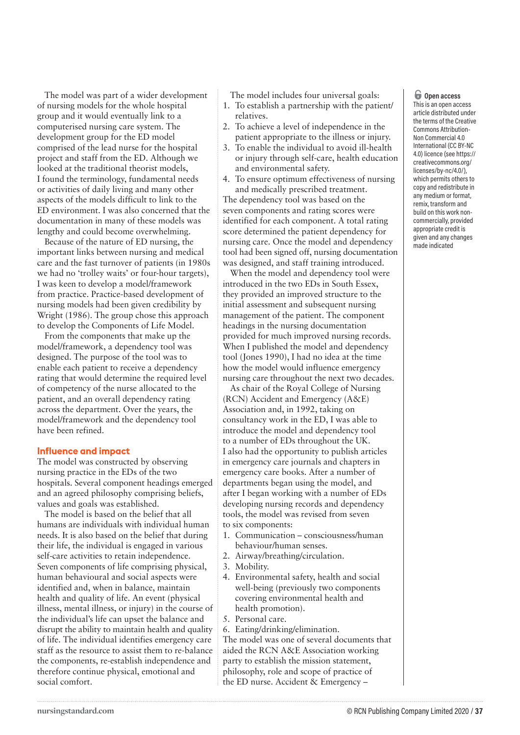The model was part of a wider development of nursing models for the whole hospital group and it would eventually link to a computerised nursing care system. The development group for the ED model comprised of the lead nurse for the hospital project and staff from the ED. Although we looked at the traditional theorist models, I found the terminology, fundamental needs or activities of daily living and many other aspects of the models difficult to link to the ED environment. I was also concerned that the documentation in many of these models was lengthy and could become overwhelming.

Because of the nature of ED nursing, the important links between nursing and medical care and the fast turnover of patients (in 1980s we had no 'trolley waits' or four-hour targets), I was keen to develop a model/framework from practice. Practice-based development of nursing models had been given credibility by Wright (1986). The group chose this approach to develop the Components of Life Model.

From the components that make up the model/framework, a dependency tool was designed. The purpose of the tool was to enable each patient to receive a dependency rating that would determine the required level of competency of the nurse allocated to the patient, and an overall dependency rating across the department. Over the years, the model/framework and the dependency tool have been refined.

#### **Influence and impact**

The model was constructed by observing nursing practice in the EDs of the two hospitals. Several component headings emerged and an agreed philosophy comprising beliefs, values and goals was established.

The model is based on the belief that all humans are individuals with individual human needs. It is also based on the belief that during their life, the individual is engaged in various self-care activities to retain independence. Seven components of life comprising physical, human behavioural and social aspects were identified and, when in balance, maintain health and quality of life. An event (physical illness, mental illness, or injury) in the course of the individual's life can upset the balance and disrupt the ability to maintain health and quality of life. The individual identifies emergency care staff as the resource to assist them to re-balance the components, re-establish independence and therefore continue physical, emotional and social comfort.

The model includes four universal goals:

- 1. To establish a partnership with the patient/ relatives.
- 2. To achieve a level of independence in the patient appropriate to the illness or injury.
- 3. To enable the individual to avoid ill-health or injury through self-care, health education and environmental safety.
- 4. To ensure optimum effectiveness of nursing and medically prescribed treatment.

The dependency tool was based on the seven components and rating scores were identified for each component. A total rating score determined the patient dependency for nursing care. Once the model and dependency tool had been signed off, nursing documentation was designed, and staff training introduced.

When the model and dependency tool were introduced in the two EDs in South Essex, they provided an improved structure to the initial assessment and subsequent nursing management of the patient. The component headings in the nursing documentation provided for much improved nursing records. When I published the model and dependency tool (Jones 1990), I had no idea at the time how the model would influence emergency nursing care throughout the next two decades.

As chair of the Royal College of Nursing (RCN) Accident and Emergency (A&E) Association and, in 1992, taking on consultancy work in the ED, I was able to introduce the model and dependency tool to a number of EDs throughout the UK. I also had the opportunity to publish articles in emergency care journals and chapters in emergency care books. After a number of departments began using the model, and after I began working with a number of EDs developing nursing records and dependency tools, the model was revised from seven to six components:

- 1. Communication consciousness/human behaviour/human senses.
- 2. Airway/breathing/circulation.
- 3. Mobility.
- 4. Environmental safety, health and social well-being (previously two components covering environmental health and health promotion).
- 5. Personal care.
- 6. Eating/drinking/elimination.

The model was one of several documents that aided the RCN A&E Association working party to establish the mission statement, philosophy, role and scope of practice of the ED nurse. Accident & Emergency –

## o **Open access**

This is an open access article distributed under the terms of the Creative Commons Attribution-Non Commercial 4.0 International (CC BY-NC 4.0) licence (see https:// creativecommons.org/ licenses/by-nc/4.0/), which permits others to copy and redistribute in any medium or format, remix, transform and build on this work noncommercially, provided appropriate credit is given and any changes made indicated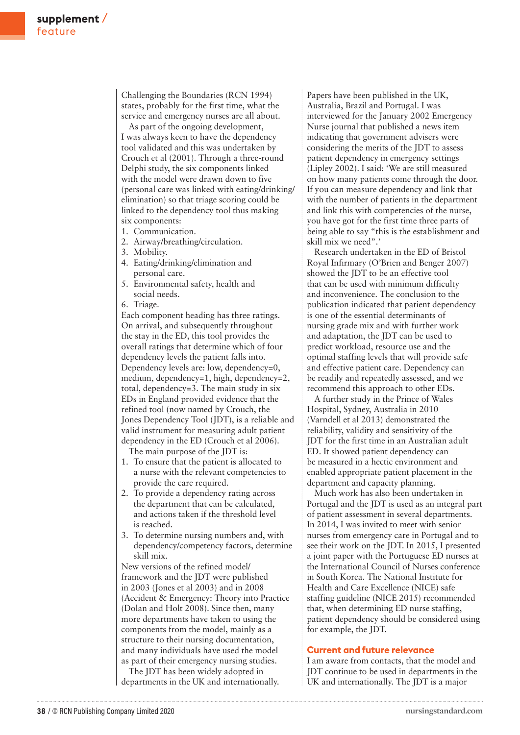Challenging the Boundaries (RCN 1994) states, probably for the first time, what the service and emergency nurses are all about.

As part of the ongoing development, I was always keen to have the dependency tool validated and this was undertaken by Crouch et al (2001). Through a three-round Delphi study, the six components linked with the model were drawn down to five (personal care was linked with eating/drinking/ elimination) so that triage scoring could be linked to the dependency tool thus making six components:

- 1. Communication.
- 2. Airway/breathing/circulation.
- 3. Mobility.
- 4. Eating/drinking/elimination and personal care.
- 5. Environmental safety, health and social needs.

6. Triage.

Each component heading has three ratings. On arrival, and subsequently throughout the stay in the ED, this tool provides the overall ratings that determine which of four dependency levels the patient falls into. Dependency levels are: low, dependency=0, medium, dependency=1, high, dependency=2, total, dependency=3. The main study in six EDs in England provided evidence that the refined tool (now named by Crouch, the Jones Dependency Tool (JDT), is a reliable and valid instrument for measuring adult patient dependency in the ED (Crouch et al 2006).

The main purpose of the JDT is:

- 1. To ensure that the patient is allocated to a nurse with the relevant competencies to provide the care required.
- 2. To provide a dependency rating across the department that can be calculated, and actions taken if the threshold level is reached.
- 3. To determine nursing numbers and, with dependency/competency factors, determine skill mix.

New versions of the refined model/ framework and the JDT were published in 2003 (Jones et al 2003) and in 2008 (Accident & Emergency: Theory into Practice (Dolan and Holt 2008). Since then, many more departments have taken to using the components from the model, mainly as a structure to their nursing documentation, and many individuals have used the model as part of their emergency nursing studies.

The JDT has been widely adopted in departments in the UK and internationally. Papers have been published in the UK, Australia, Brazil and Portugal. I was interviewed for the January 2002 Emergency Nurse journal that published a news item indicating that government advisers were considering the merits of the JDT to assess patient dependency in emergency settings (Lipley 2002). I said: 'We are still measured on how many patients come through the door. If you can measure dependency and link that with the number of patients in the department and link this with competencies of the nurse, you have got for the first time three parts of being able to say "this is the establishment and skill mix we need".'

Research undertaken in the ED of Bristol Royal Infirmary (O'Brien and Benger 2007) showed the JDT to be an effective tool that can be used with minimum difficulty and inconvenience. The conclusion to the publication indicated that patient dependency is one of the essential determinants of nursing grade mix and with further work and adaptation, the JDT can be used to predict workload, resource use and the optimal staffing levels that will provide safe and effective patient care. Dependency can be readily and repeatedly assessed, and we recommend this approach to other EDs.

A further study in the Prince of Wales Hospital, Sydney, Australia in 2010 (Varndell et al 2013) demonstrated the reliability, validity and sensitivity of the JDT for the first time in an Australian adult ED. It showed patient dependency can be measured in a hectic environment and enabled appropriate patient placement in the department and capacity planning.

Much work has also been undertaken in Portugal and the JDT is used as an integral part of patient assessment in several departments. In 2014, I was invited to meet with senior nurses from emergency care in Portugal and to see their work on the JDT. In 2015, I presented a joint paper with the Portuguese ED nurses at the International Council of Nurses conference in South Korea. The National Institute for Health and Care Excellence (NICE) safe staffing guideline (NICE 2015) recommended that, when determining ED nurse staffing, patient dependency should be considered using for example, the JDT.

#### **Current and future relevance**

I am aware from contacts, that the model and JDT continue to be used in departments in the UK and internationally. The JDT is a major